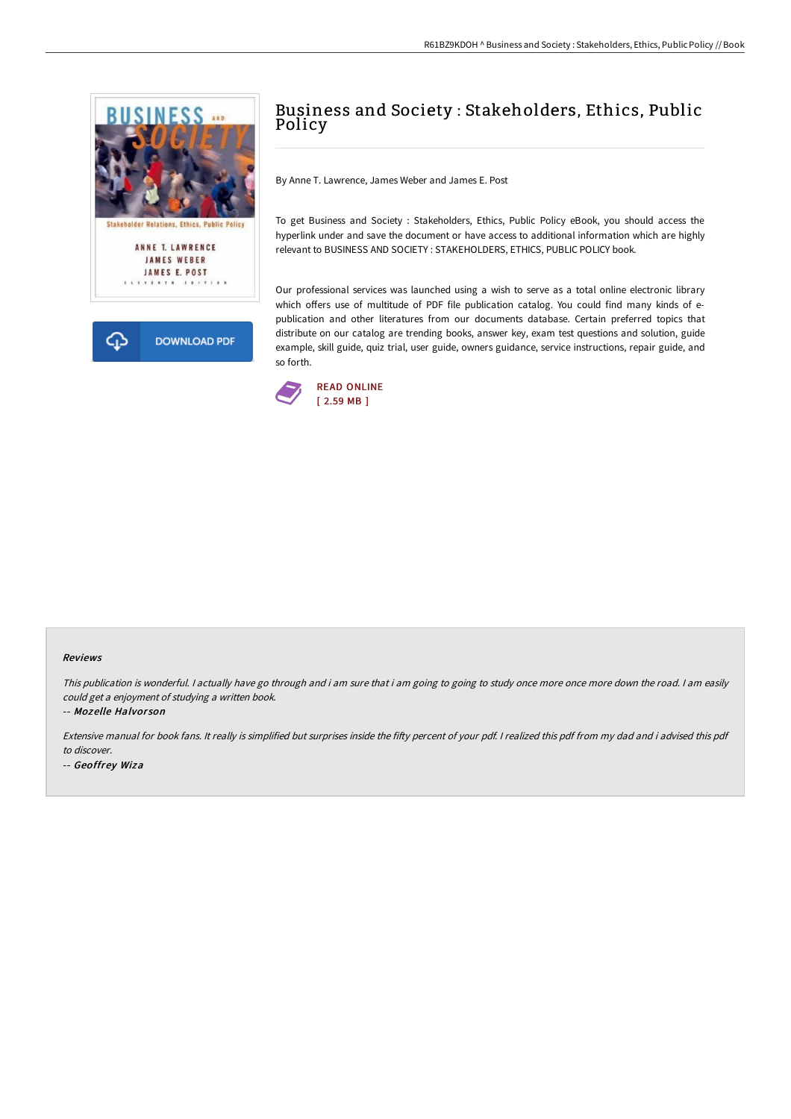



# Business and Society : Stakeholders, Ethics, Public Policy

By Anne T. Lawrence, James Weber and James E. Post

To get Business and Society : Stakeholders, Ethics, Public Policy eBook, you should access the hyperlink under and save the document or have access to additional information which are highly relevant to BUSINESS AND SOCIETY : STAKEHOLDERS, ETHICS, PUBLIC POLICY book.

Our professional services was launched using a wish to serve as a total online electronic library which offers use of multitude of PDF file publication catalog. You could find many kinds of epublication and other literatures from our documents database. Certain preferred topics that distribute on our catalog are trending books, answer key, exam test questions and solution, guide example, skill guide, quiz trial, user guide, owners guidance, service instructions, repair guide, and so forth.



#### Reviews

This publication is wonderful. <sup>I</sup> actually have go through and i am sure that i am going to going to study once more once more down the road. <sup>I</sup> am easily could get <sup>a</sup> enjoyment of studying <sup>a</sup> written book.

-- Mozelle Halvor son

Extensive manual for book fans. It really is simplified but surprises inside the fifty percent of your pdf. I realized this pdf from my dad and i advised this pdf to discover.

-- Geoffrey Wiza